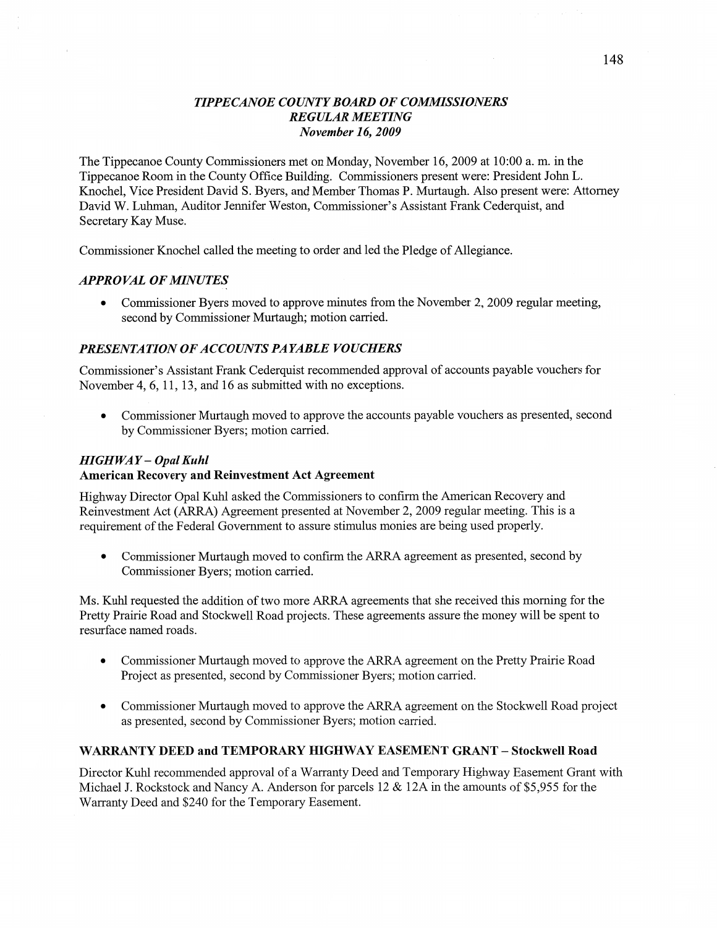## *TIPPE CANOE COUNTY BOARD* OF *COMMISSIONERS REGULAR MEETING November* 16, *2009*

The Tippecanoe County Commissioners met on Monday, November 16, 2009 at 10:00 a. m. in the Tippecanoe Room in the County Office Building. Commissioners present were: President John L. Knochel, **Vice** President David S. Byers, and Member Thomas P. Murtaugh. Also present were: Attorney David W. Luhman, Auditor Jennifer Weston, Commissioner's Assistant Frank Cederquist, and Secretary Kay Muse.

Commissioner Knochel called the meeting to order and led the Pledge of Allegiance.

## **APPROVAL OF MINUTES**

• Commissioner Byers moved to approve minutes from the November 2, 2009 regular meeting, second by Commissioner Murtaugh; motion carried.

#### *PRESENTATION OFACCOUNTS PAYABLE VOUCHERS*

Commissioner's Assistant Frank Cederquist recommended approval of accounts payable vouchers for November 4, 6, 11, 13, and 16 as submitted with no exceptions.

**0** Commissioner Murtaugh moved to approve the accounts payable vouchers as presented, second by Commissioner Byers; motion carried.

## *HIGHWAY* **—** *Opal Kuhl*

#### **American Recovery** and Reinvestment Act **Agreement**

Highway Director Opal Kuhl asked the Commissioners to confirm the American Recovery and Reinvestment Act (ARRA) Agreement presented at November 2, 2009 regular meeting. This is a requirement of the Federal Government to assure stimulus monies are being used properly.

• Commissioner Murtaugh moved to confirm the ARRA agreement as presented, second by Commissioner Byers; motion carried.

Ms. Kuhl requested the addition of two more **ARRA** agreements that she received this morning for the Pretty Prairie Road and Stockwell Road projects. These agreements assure the money will be spent to resurface named roads.

- Commissioner Murtaugh moved to approve the ARRA agreement on the Pretty Prairie Road Project as presented, second by Commissioner Byers; motion carried.
- **0** Commissioner Murtaugh moved to approve the ARRA agreement on the Stockwell Road project as presented, second by Commissioner Byers; motion carried.

#### **WARRANTY DEED** and **TEMPORARY HIGHWAY EASEMENT GRANT — Stockwell Road**

Director Kuhl recommended approval of **a** Warranty Deed and Temporary Highway Easement Grant with Michael J. Rockstock and Nancy A. Anderson for parcels 12 & 12A in the amounts of \$5,955 for the Warranty Deed and \$240 for the Temporary Easement.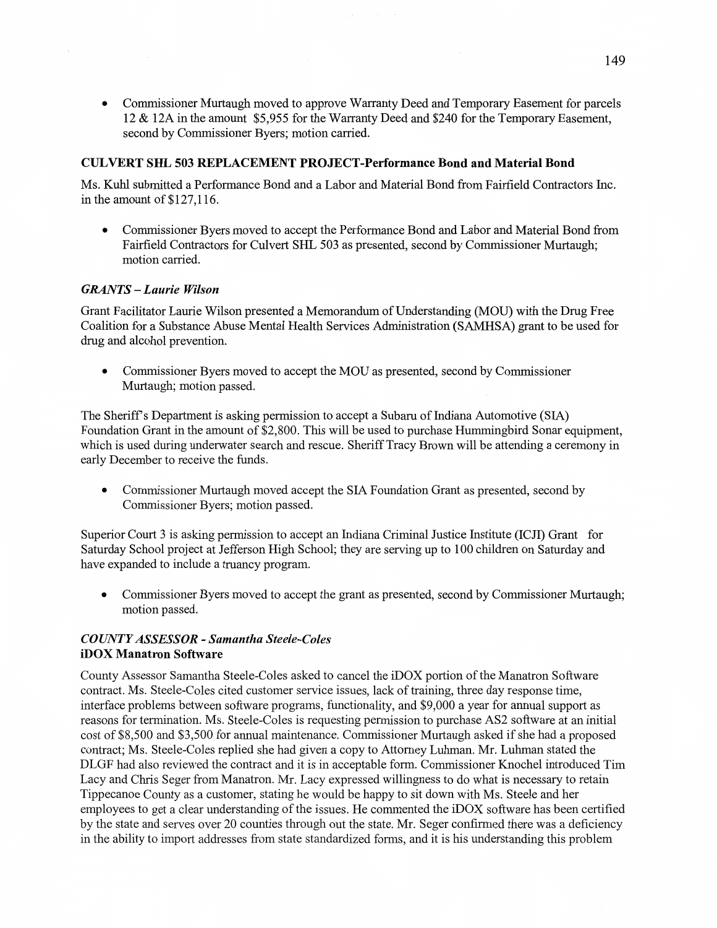Commissioner Murtaugh moved to approve Warranty Deed and Temporary Easement for parcels 12 & 12A in the amount \$5,955 for the Warranty Deed and \$240 for the Temporary **Easement,**  second by Commissioner Byers; **motion** carried.

#### **CULVERT** SHL 503 **REPLACEMENT PROJECT-Performance Bond** and **Material Bond**

Ms. **Kuhl** submitted **a** Performance Bond and **a** Labor and Material Bond from Fairfield Contractors Inc. in the amount of **\$127,1** 16.

**0** Commissioner Byers moved to accept the Performance **Bond** and Labor and Material Bond from Fairfield Contractors for Culvert SHL 503 as presented, second by Commissioner Murtaugh; motion carried.

#### *GRANTS* **—** *Laurie Wilson*

Grant Facilitator Laurie Wilson presented **a** Memorandum of Understanding (MOU) with the Drug **Free**  Coalition for a Substance **Abuse** Mental Health Services Administration (SAMHSA) grant to be used for drug and alcohol prevention.

**0** Commissioner Byers **moved** to accept the MOU as presented, **second** by **Commissioner**  Murtaugh; motion passed.

The Sheriff's Department is asking permission to accept a Subaru of Indiana Automotive (SIA) Foundation Grant in the amount of \$2,800. **This** will be used to purchase Hummingbird Sonar equipment, **which** is used during underwater search and **rescue. Sheriff** Tracy Brown **will** be attending a ceremony in early December to receive the fimds.

**0** Commissioner Murtaugh moved accept the SIA Foundation Grant as presented, second by Commissioner Byers; **motion** passed.

Superior Court 3 is asking permission to accept an Indiana Criminal Justice Institute (ICJI) Grant for Saturday School project at Jefferson High School; they are serving up to 100 children on Saturday and have expanded to include a truancy program.

**0** Commissioner Byers moved to accept the grant as presented, **second** by **Commissioner** Murtaugh; motion passed.

## *COWTYASSESSOR - Samantha Steele-Coles*  **iDOX Manatron Software**

County Assessor Samantha Steele-Coles asked to cancel the **iDOX** portion of the Manatron Software contract. Ms. Steele-Coles cited customer service issues, lack of training, three day response time, interface problems between software programs, functionality, and \$9,000 a year for annual support as reasons for termination. Ms. Steele-Coles is requesting permission to purchase AS2 software at an initial cost of \$8,500 and \$3,500 for annual maintenance. Commissioner Murtaugh asked if she had a proposed contract; Ms. Steele-Coles replied she had given a copy to Attorney Luhman. Mr. Luhman stated the DLGF had also reviewed the contract and it is in acceptable form. Commissioner Knochel introduced Tim Lacy and Chris Seger from Manatron. Mr. Lacy expressed willingness to do what is necessary to retain Tippecanoe County as a customer, stating he would be happy to sit down with Ms. Steele and her employees to get a clear understanding of the issues. He commented the iDOX software has been certified by the state and serves over 20 counties through out the state. Mr. Seger confirmed there was a deficiency in the ability to import addresses from state standardized forms, and it is his understanding this problem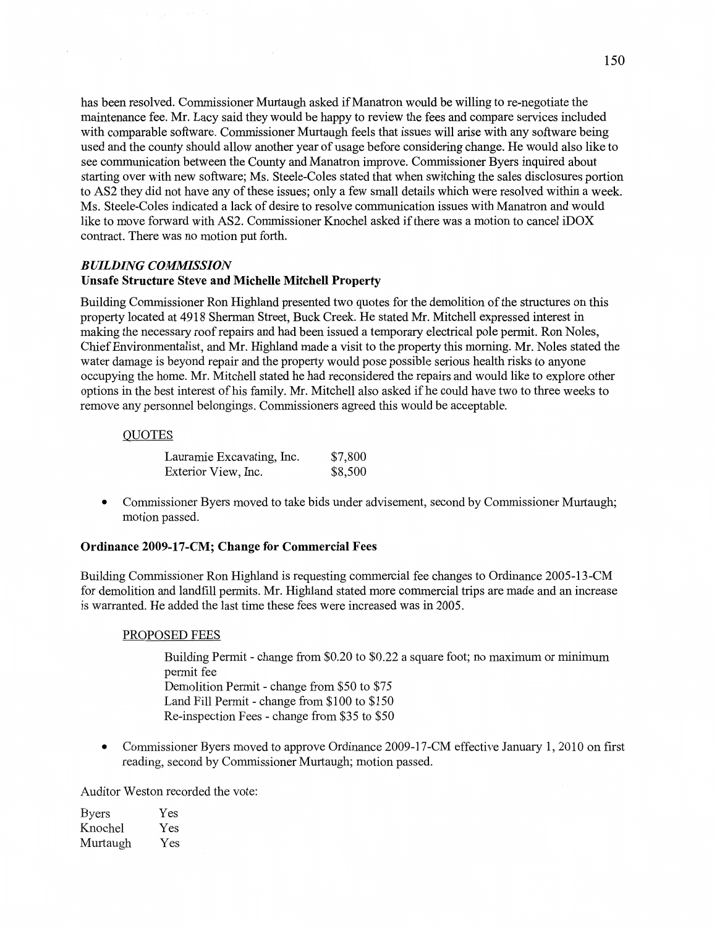has been resolved. Commissioner Murtaugh asked if Manatron would be Willing to re-negotiate the maintenance fee. Mr. Lacy said they would be happy to review the fees and compare services included with comparable software. Commissioner Murtaugh feels that issues will arise with any software being used and the county should allow **another** year of usage before considering change. He would also like to see **communication** between the County and Manatron improve. Commissioner Byers inquired about starting over With new software; Ms. Steele—C0165 stated that **when** switching the sales disclosures portion to ASZ they did not have any of **these** issues; only a few small details which were resolved within **a** week. Ms. Steele-Coles indicated a lack of desire to resolve communication **issues** with Manatron and would like to move forward with AS2. Commissioner Knochel asked if there was a motion to cancel iDOX contract. **There** was no **motion** put **forth.** 

#### *BUILDING COMMISSION*

#### **Unsafe Structure Steve** and **Michelle Mitchell Property**

Building Commissioner Ron Highland presented two quotes for the **demolition** of the structures on **this**  property located at 4918 Sherman Street, Buck Creek. He stated Mr. Mitchell expressed interest in **making** the necessary roof repairs and had been issued a temporary electrical pole permit. Ron Noles, Chief Environmentalist, and Mr. Highland made a visit to the property this morning. Mr. Noles stated the water damage is beyond repair and the property would pose possible serious **health** risks to anyone occupying the home. Mr. Mitchell stated he had reconsidered the repairs and would like to explore other options in the **best** interest of his family. Mr. **Mitchell** also **asked** if he could have two to three weeks to remove any personnel belongings. Commissioners agreed **this** would be acceptable.

#### **OUOTES**

| Lauramie Excavating, Inc. | \$7,800 |
|---------------------------|---------|
| Exterior View, Inc.       | \$8,500 |

**0** Commissioner Byers moved to take bids under advisement, second by Commissioner Murtaugh; motion passed.

#### **Ordinance 2009—17—CM; Change** for **Commercial Fees**

Building Commissioner Ron Highland is requesting commercial fee changes to Ordinance 2005-13-CM for demolition and landfill permits. Mr. Highland stated more commercial **trips** are made and an increase is warranted. He added the last time these fees were increased was in 2005.

#### PROPOSED FEES

Building Permit **-** change from \$0.20 to \$0.22 a square foot; no **maximum** or minimum permit fee **Demolition** Permit **-** change from \$50 to \$75 Land Fill Permit *-* change from \$100 to \$150 Re-inspection Fees *-* change from \$35 to \$50

**0** Commissioner Byers moved to approve Ordinance 2009-17-CM effective January 1, 2010 on first reading, second by Commissioner Murtaugh; motion passed.

Auditor Weston recorded the vote:

| <b>Byers</b> | Yes |
|--------------|-----|
| Knochel      | Yes |
| Murtaugh     | Yes |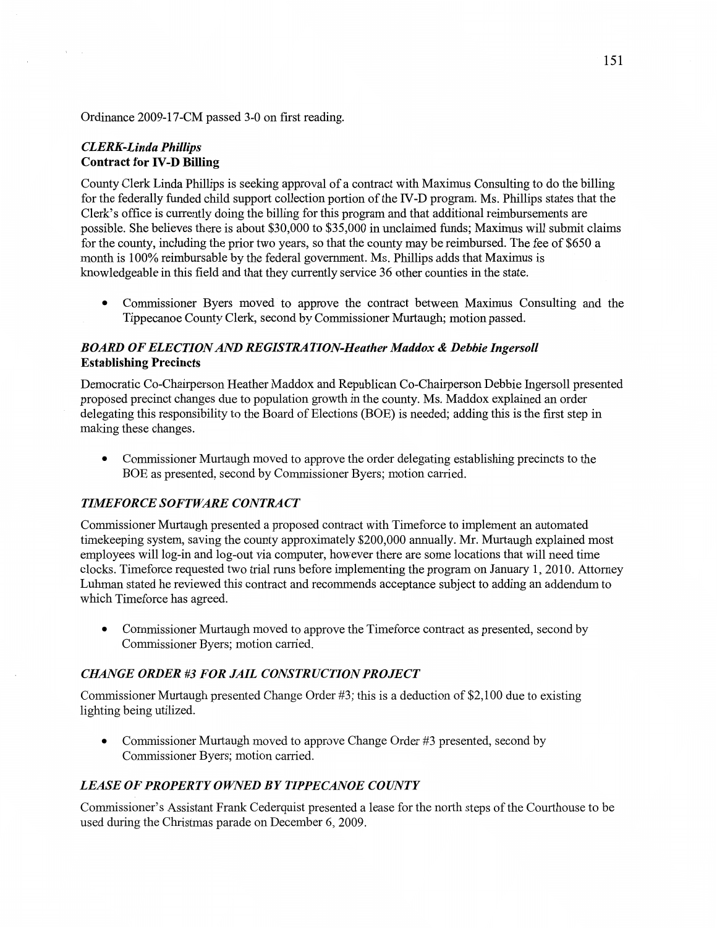Ordinance 2009-17-CM passed 3-0 on first reading.

## *CLERK-Linda Phillips*  **Contract** for **IV-D** Billing

 $\tau$ 

County Clerk Linda Phillips is seeking approval of a contract with Maximus Consulting to do the billing for the federally funded child support collection portion of the IV-D program. Ms. **Phillips** states that the Clerk's office is currently doing the billing for this program and that additional reimbursements are possible. She believes there is about \$30,000 to \$35,000 in **unclaimed fimds;** Maximus will submit claims for the county, including the prior two years, so that the county may be reimbursed. The fee of \$650 a **month** is 100% reimbursable by the federal government. Ms. Phillips adds that Maximus is knowledgeable in **this** field and **that** they currently service 36 other counties in the **state.** 

**0 Commissioner** Byers moved to approve the contract between **Maximus Consulting** and the **Tippecanoe** County **Clcrk,** second by Commissioner Murtaugh; **motion passed.** 

## *BOARD* OF *ELECTION* AND RE *GIST* RA *T ION-Heather Maddox & Debbie Ingersoll*  **Establishing Precincts**

Democratic Co-Chairperson Heather Maddox and Republican Co-Chairperson Debbie Ingersoll presented proposed precinct changes due to population growth in the county. Ms. Maddox explained an order delegating this responsibility to the Board of Elections (BOE) is needed; adding this is the first step in **making** these changes.

**0** Commissioner Murtaugh moved to approve the order delegating establishing precincts to the BOE as presented, second by Commissioner Byers; motion carried.

## **TIMEFORCE SOFTWARE CONTRACT**

Commissioner Murtaugh presented a proposed contract with Timeforce to implement an automated timekeeping system, saving the county approximately \$200,000 annually. Mr. Murtaugh explained **most**  employees will **log-in** and log-out via computer, **however** there are some locations that will need time clocks. Timeforce requested two **trial** runs before implementing the program on January 1, 2010. Attorney Luhman stated he reviewed this contract and **recommends** acceptance subject to adding an addendum to Which Timeforce has agreed.

**0 Commissioner** Murtaugh **moved** to approve the Timeforce contract as presented, second by **Commissioner** Byers; motion carried.

#### *CHANGE ORDER* #3 FOR *JAIL CONSTR UCTION PROJECT*

Commissioner Murtaugh presented Change Order #3; **this** is **a** deduction of \$2,100 due to existing lighting being utilized.

• Commissioner Murtaugh moved to approve Change Order #3 presented, second by Commissioner Byers; motion carried.

## *LEASE* OF *PROPERTY OWNED* BY *TIPPECANOE COUNTY*

Commissidner's Assistant Frank Cederquist presented **a** lease for the north steps of the Courthouse to be used during the Christmas parade on December 6, 2009.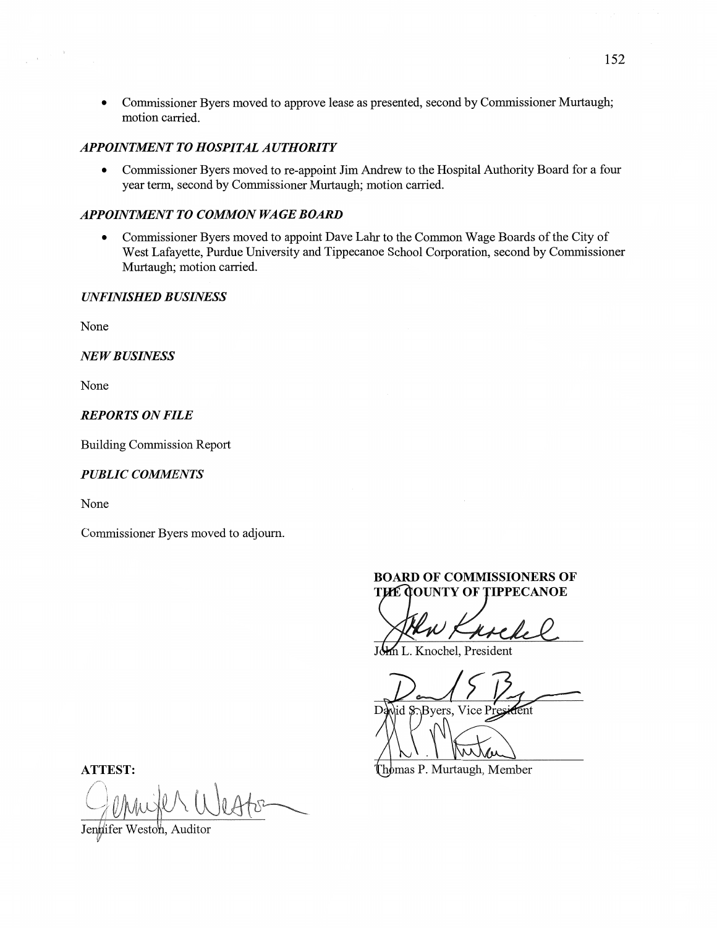**0** Commissioner Byers moved to approve lease as presented, second by Commissioner Murtaugh; motion carried.

#### *APPOINTMENT* T0 *HOSPITAL AUTHORITY*

**0** Commissioner Byers **moved** to re-appoint Jim Andrew to the Hospital Authority Board for **a** four year term, second by Commissioner Murtaugh; motion carried.

## *APPOINTMENT* T0 *COMMON* WA GE *BOARD*

**0** Commissioner Byers moved to appoint Dave Lahr to the Common Wage Boards of the City of West Lafayette, Purdue University and Tippecanoe School Corporation, second by Commissioner Murtaugh; motion carried.

## *UNFINISHED BUSINESS*

None

NE WB *USINESS* 

None

#### *REPORTS* ON *FILE*

Building Commission Report

#### *PUBLIC COMMENTS*

None

Commissioner Byers moved to adjourn.

## **BOARD** OF **COMMISSIONERS** OF **THE GOUNTY OF TIPPECANOE**

use

Knochel, President

David S. Byers, Vice President

**ATTEST:** Thomas P. Murtaugh, Member

Jenglifer Weston, Auditor